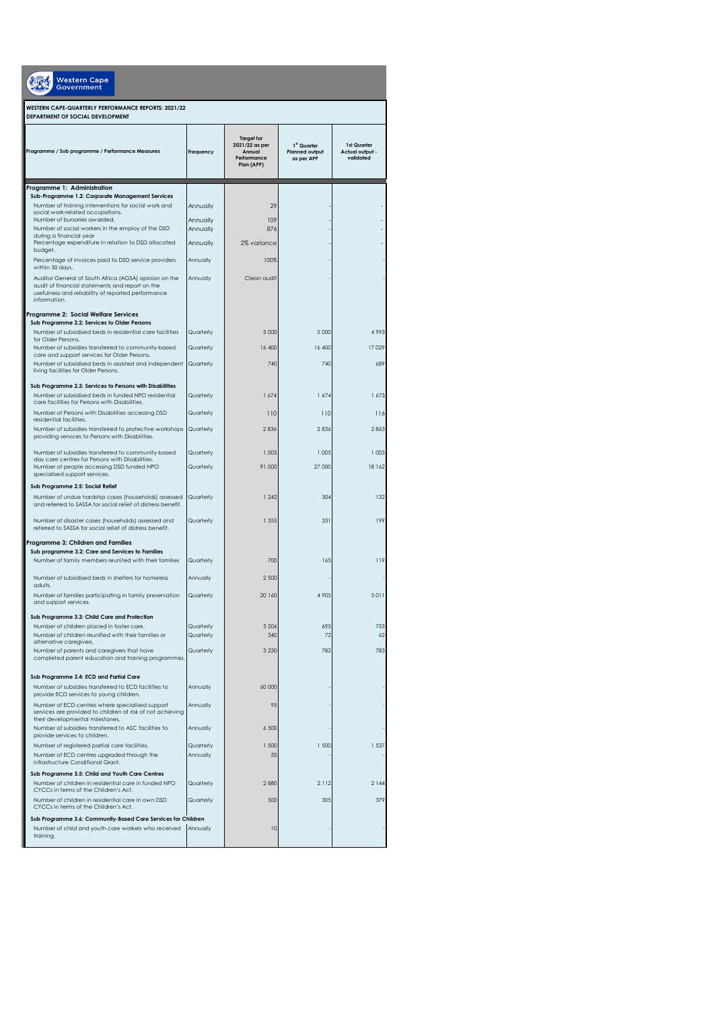| <b>Western Cape</b><br>Government                                                                                                                                              |                      |                                                                            |                                                    |                                             |  |  |  |
|--------------------------------------------------------------------------------------------------------------------------------------------------------------------------------|----------------------|----------------------------------------------------------------------------|----------------------------------------------------|---------------------------------------------|--|--|--|
| WESTERN CAPE-QUARTERLY PERFORMANCE REPORTS: 2021/22<br>DEPARTMENT OF SOCIAL DEVELOPMENT                                                                                        |                      |                                                                            |                                                    |                                             |  |  |  |
| Programme / Sub programme / Performance Measures                                                                                                                               | Frequency            | <b>Target for</b><br>2021/22 as per<br>Annual<br>Performance<br>Plan (APP) | 1st Quarter<br><b>Planned output</b><br>as per APP | 1st Quarter<br>Actual output -<br>validated |  |  |  |
| Programme 1: Administration                                                                                                                                                    |                      |                                                                            |                                                    |                                             |  |  |  |
| Sub-Programme 1.2: Corporate Management Services                                                                                                                               |                      |                                                                            |                                                    |                                             |  |  |  |
| Number of training interventions for social work and<br>social work-related occupations.                                                                                       | Annually             | 29                                                                         |                                                    |                                             |  |  |  |
| Number of bursaries awarded.<br>Number of social workers in the employ of the DSD                                                                                              | Annually<br>Annually | 109<br>876                                                                 |                                                    |                                             |  |  |  |
| during a financial year<br>Percentage expenditure in relation to DSD allocated                                                                                                 | Annually             | 2% variance                                                                |                                                    |                                             |  |  |  |
| budget.                                                                                                                                                                        |                      |                                                                            |                                                    |                                             |  |  |  |
| Percentage of invoices paid to DSD service providers<br>within 30 days.                                                                                                        | Annually             | 100%                                                                       |                                                    |                                             |  |  |  |
| Auditor General of South Africa (AGSA) opinion on the<br>audit of financial statements and report on the<br>usefulness and reliability of reported performance<br>information. | Annually             | Clean audit                                                                |                                                    |                                             |  |  |  |
| Programme 2: Social Welfare Services                                                                                                                                           |                      |                                                                            |                                                    |                                             |  |  |  |
| Sub Programme 2.2: Services to Older Persons<br>Number of subsidised beds in residential care facilities                                                                       | Quarterly            | 5.000                                                                      | 5 0 0 0                                            | 4993                                        |  |  |  |
| for Older Persons.<br>Number of subsidies transferred to community-based                                                                                                       | Quarterly            | 16 400                                                                     | 16 400                                             | 17 029                                      |  |  |  |
| care and support services for Older Persons.                                                                                                                                   |                      |                                                                            |                                                    |                                             |  |  |  |
| Number of subsidised beds in assisted and independent<br>living facilities for Older Persons.                                                                                  | Quarterly            | 740                                                                        | 740                                                | 689                                         |  |  |  |
| Sub Programme 2.3: Services to Persons with Disabilities                                                                                                                       |                      |                                                                            |                                                    |                                             |  |  |  |
| Number of subsidised beds in funded NPO residential                                                                                                                            | Quarterly            | 1674                                                                       | 1674                                               | 1 673                                       |  |  |  |
| care facilities for Persons with Disabilities.<br>Number of Persons with Disabilities accessing DSD                                                                            |                      |                                                                            |                                                    |                                             |  |  |  |
| residential facilities.                                                                                                                                                        | Quarterly            | 110                                                                        | 110                                                | 116                                         |  |  |  |
| Number of subsidies transferred to protective workshops<br>providing services to Persons with Disabilities.                                                                    | Quarterly            | 2836                                                                       | 2836                                               | 2863                                        |  |  |  |
|                                                                                                                                                                                |                      |                                                                            |                                                    |                                             |  |  |  |
| Number of subsidies transferred to community-based<br>day care centres for Persons with Disabilities.                                                                          | Quarterly            | 1 0 0 5                                                                    | 1 0 0 5                                            | 1003                                        |  |  |  |
| Number of people accessing DSD funded NPO<br>specialised support services.                                                                                                     | Quarterly            | 91 000                                                                     | 27 000                                             | 18 162                                      |  |  |  |
| Sub Programme 2.5: Social Relief                                                                                                                                               |                      |                                                                            |                                                    |                                             |  |  |  |
| Number of undue hardship cases (households) assessed                                                                                                                           | Quarterly            | 1 2 4 2                                                                    | 304                                                | 132                                         |  |  |  |
| and referred to SASSA for social relief of distress benefit.                                                                                                                   |                      |                                                                            |                                                    |                                             |  |  |  |
| Number of disaster cases (households) assessed and<br>referred to SASSA for social relief of distress benefit.                                                                 | Quarterly            | 1 3 5 5                                                                    | 331                                                | 199                                         |  |  |  |
|                                                                                                                                                                                |                      |                                                                            |                                                    |                                             |  |  |  |
| Programme 3: Children and Families<br>Sub programme 3.2: Care and Services to Families                                                                                         |                      |                                                                            |                                                    |                                             |  |  |  |
| Number of family members reunited with their families                                                                                                                          | Quarterly            | 700                                                                        | 165                                                | 119                                         |  |  |  |
| Number of subsidised beds in shelters for homeless                                                                                                                             | Annually             | 2 500                                                                      |                                                    |                                             |  |  |  |
| adults.                                                                                                                                                                        |                      |                                                                            |                                                    |                                             |  |  |  |
| Number of families participating in family preservation<br>and support services.                                                                                               | Quarterly            | 20 160                                                                     | 4 9 0 5                                            | 5011                                        |  |  |  |
| Sub Programme 3.3: Child Care and Protection                                                                                                                                   |                      |                                                                            |                                                    |                                             |  |  |  |
| Number of children placed in foster care.                                                                                                                                      | Quarterly            | 3 2 0 6                                                                    | 695                                                | 753                                         |  |  |  |
| Number of children reunified with their families or<br>alternative caregivers.                                                                                                 | Quarterly            | 340                                                                        | 72                                                 | 62                                          |  |  |  |
| Number of parents and caregivers that have<br>completed parent education and training programmes.                                                                              | Quarterly            | 3 2 3 0                                                                    | 782                                                | 783                                         |  |  |  |
|                                                                                                                                                                                |                      |                                                                            |                                                    |                                             |  |  |  |
| Sub Programme 3.4: ECD and Partial Care                                                                                                                                        |                      |                                                                            |                                                    |                                             |  |  |  |
| Number of subsidies transferred to ECD facilities to<br>provide ECD services to young children.                                                                                | Annually             | 60 000                                                                     |                                                    |                                             |  |  |  |
| Number of ECD centres where specialised support                                                                                                                                | Annually             | 95                                                                         |                                                    |                                             |  |  |  |
| services are provided to children at risk of not achieving<br>their developmental milestones.                                                                                  |                      |                                                                            |                                                    |                                             |  |  |  |
| Number of subsidies transferred to ASC facilities to<br>provide services to children.                                                                                          | Annually             | 6 500                                                                      |                                                    |                                             |  |  |  |
| Number of registered partial care facilities.                                                                                                                                  | Quarterly            | 1 500                                                                      | 1 500                                              | 1 5 3 7                                     |  |  |  |
| Number of ECD centres upgraded through the<br>Infrastructure Conditional Grant.                                                                                                | Annually             | 50                                                                         |                                                    |                                             |  |  |  |
| Sub Programme 3.5: Child and Youth Care Centres                                                                                                                                |                      |                                                                            |                                                    |                                             |  |  |  |
| Number of children in residential care in funded NPO                                                                                                                           | Quarterly            | 2880                                                                       | 2 1 1 2                                            | 2 1 4 4                                     |  |  |  |
| CYCCs in terms of the Children's Act.<br>Number of children in residential care in own DSD                                                                                     | Quarterly            | 500                                                                        | 305                                                | 379                                         |  |  |  |
| CYCCs in terms of the Children's Act.                                                                                                                                          |                      |                                                                            |                                                    |                                             |  |  |  |
| Sub Programme 3.6: Community-Based Care Services for Children                                                                                                                  |                      |                                                                            |                                                    |                                             |  |  |  |
| Number of child and youth care workers who received<br>training.                                                                                                               | Annually             | 10                                                                         |                                                    |                                             |  |  |  |
|                                                                                                                                                                                |                      |                                                                            |                                                    |                                             |  |  |  |